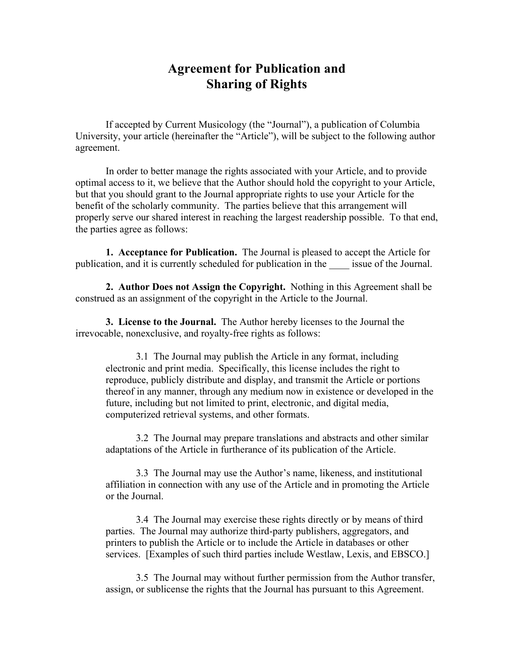## **Agreement for Publication and Sharing of Rights**

If accepted by Current Musicology (the "Journal"), a publication of Columbia University, your article (hereinafter the "Article"), will be subject to the following author agreement.

In order to better manage the rights associated with your Article, and to provide optimal access to it, we believe that the Author should hold the copyright to your Article, but that you should grant to the Journal appropriate rights to use your Article for the benefit of the scholarly community. The parties believe that this arrangement will properly serve our shared interest in reaching the largest readership possible. To that end, the parties agree as follows:

**1. Acceptance for Publication.** The Journal is pleased to accept the Article for publication, and it is currently scheduled for publication in the \_\_\_\_ issue of the Journal.

**2. Author Does not Assign the Copyright.** Nothing in this Agreement shall be construed as an assignment of the copyright in the Article to the Journal.

**3. License to the Journal.** The Author hereby licenses to the Journal the irrevocable, nonexclusive, and royalty-free rights as follows:

3.1 The Journal may publish the Article in any format, including electronic and print media. Specifically, this license includes the right to reproduce, publicly distribute and display, and transmit the Article or portions thereof in any manner, through any medium now in existence or developed in the future, including but not limited to print, electronic, and digital media, computerized retrieval systems, and other formats.

3.2 The Journal may prepare translations and abstracts and other similar adaptations of the Article in furtherance of its publication of the Article.

3.3 The Journal may use the Author's name, likeness, and institutional affiliation in connection with any use of the Article and in promoting the Article or the Journal.

3.4 The Journal may exercise these rights directly or by means of third parties. The Journal may authorize third-party publishers, aggregators, and printers to publish the Article or to include the Article in databases or other services. [Examples of such third parties include Westlaw, Lexis, and EBSCO.]

3.5 The Journal may without further permission from the Author transfer, assign, or sublicense the rights that the Journal has pursuant to this Agreement.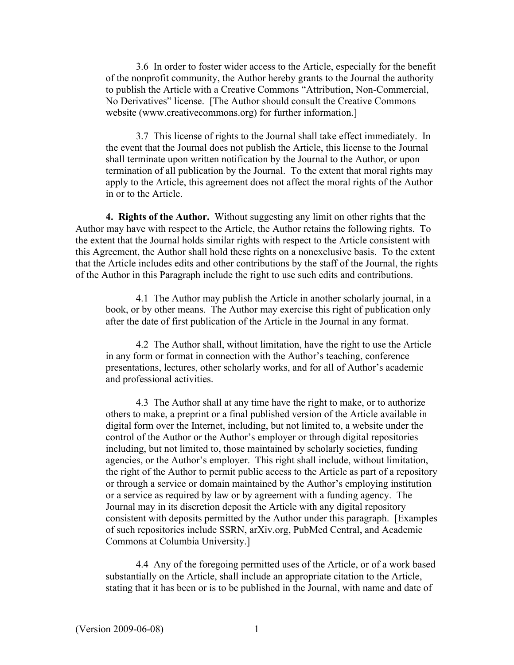3.6 In order to foster wider access to the Article, especially for the benefit of the nonprofit community, the Author hereby grants to the Journal the authority to publish the Article with a Creative Commons "Attribution, Non-Commercial, No Derivatives" license. [The Author should consult the Creative Commons website (www.creativecommons.org) for further information.]

3.7 This license of rights to the Journal shall take effect immediately. In the event that the Journal does not publish the Article, this license to the Journal shall terminate upon written notification by the Journal to the Author, or upon termination of all publication by the Journal. To the extent that moral rights may apply to the Article, this agreement does not affect the moral rights of the Author in or to the Article.

**4. Rights of the Author.** Without suggesting any limit on other rights that the Author may have with respect to the Article, the Author retains the following rights. To the extent that the Journal holds similar rights with respect to the Article consistent with this Agreement, the Author shall hold these rights on a nonexclusive basis. To the extent that the Article includes edits and other contributions by the staff of the Journal, the rights of the Author in this Paragraph include the right to use such edits and contributions.

4.1 The Author may publish the Article in another scholarly journal, in a book, or by other means. The Author may exercise this right of publication only after the date of first publication of the Article in the Journal in any format.

4.2 The Author shall, without limitation, have the right to use the Article in any form or format in connection with the Author's teaching, conference presentations, lectures, other scholarly works, and for all of Author's academic and professional activities.

4.3 The Author shall at any time have the right to make, or to authorize others to make, a preprint or a final published version of the Article available in digital form over the Internet, including, but not limited to, a website under the control of the Author or the Author's employer or through digital repositories including, but not limited to, those maintained by scholarly societies, funding agencies, or the Author's employer. This right shall include, without limitation, the right of the Author to permit public access to the Article as part of a repository or through a service or domain maintained by the Author's employing institution or a service as required by law or by agreement with a funding agency. The Journal may in its discretion deposit the Article with any digital repository consistent with deposits permitted by the Author under this paragraph. [Examples of such repositories include SSRN, arXiv.org, PubMed Central, and Academic Commons at Columbia University.]

4.4 Any of the foregoing permitted uses of the Article, or of a work based substantially on the Article, shall include an appropriate citation to the Article, stating that it has been or is to be published in the Journal, with name and date of